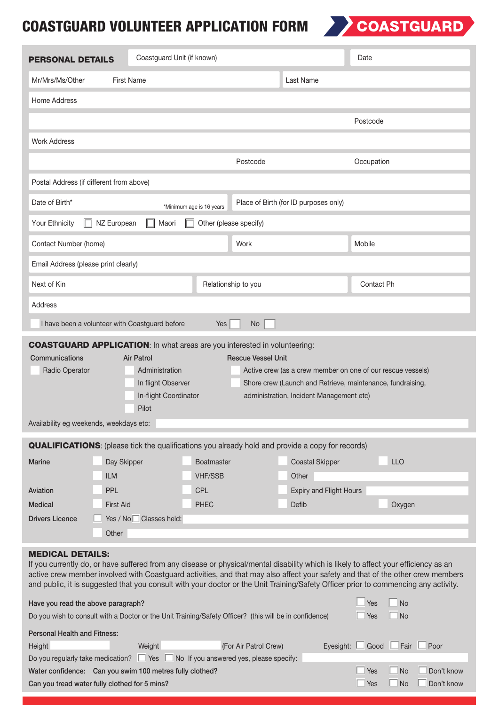# COASTGUARD VOLUNTEER APPLICATION FORM



| <b>PERSONAL DETAILS</b>                                                                                                                                                                                                                                                                                                                                                                                                                   | Coastguard Unit (if known)                                                                              |                       |                                         | Date       |                                |  |  |  |
|-------------------------------------------------------------------------------------------------------------------------------------------------------------------------------------------------------------------------------------------------------------------------------------------------------------------------------------------------------------------------------------------------------------------------------------------|---------------------------------------------------------------------------------------------------------|-----------------------|-----------------------------------------|------------|--------------------------------|--|--|--|
| Mr/Mrs/Ms/Other                                                                                                                                                                                                                                                                                                                                                                                                                           | <b>First Name</b>                                                                                       |                       | Last Name                               |            |                                |  |  |  |
| Home Address                                                                                                                                                                                                                                                                                                                                                                                                                              |                                                                                                         |                       |                                         |            |                                |  |  |  |
|                                                                                                                                                                                                                                                                                                                                                                                                                                           |                                                                                                         |                       |                                         | Postcode   |                                |  |  |  |
| <b>Work Address</b>                                                                                                                                                                                                                                                                                                                                                                                                                       |                                                                                                         |                       |                                         |            |                                |  |  |  |
|                                                                                                                                                                                                                                                                                                                                                                                                                                           |                                                                                                         | Postcode              |                                         | Occupation |                                |  |  |  |
| Postal Address (if different from above)                                                                                                                                                                                                                                                                                                                                                                                                  |                                                                                                         |                       |                                         |            |                                |  |  |  |
| Date of Birth*                                                                                                                                                                                                                                                                                                                                                                                                                            | *Minimum age is 16 years                                                                                |                       | Place of Birth (for ID purposes only)   |            |                                |  |  |  |
| Other (please specify)<br>NZ European<br>Your Ethnicity<br>Maori                                                                                                                                                                                                                                                                                                                                                                          |                                                                                                         |                       |                                         |            |                                |  |  |  |
| Contact Number (home)                                                                                                                                                                                                                                                                                                                                                                                                                     |                                                                                                         | Work                  |                                         | Mobile     |                                |  |  |  |
| Email Address (please print clearly)                                                                                                                                                                                                                                                                                                                                                                                                      |                                                                                                         |                       |                                         |            |                                |  |  |  |
| Next of Kin                                                                                                                                                                                                                                                                                                                                                                                                                               |                                                                                                         | Relationship to you   |                                         | Contact Ph |                                |  |  |  |
| Address                                                                                                                                                                                                                                                                                                                                                                                                                                   |                                                                                                         |                       |                                         |            |                                |  |  |  |
| I have been a volunteer with Coastguard before<br>Yes<br><b>No</b>                                                                                                                                                                                                                                                                                                                                                                        |                                                                                                         |                       |                                         |            |                                |  |  |  |
| <b>Rescue Vessel Unit</b><br>Communications<br>Air Patrol<br>Administration<br>Radio Operator<br>Active crew (as a crew member on one of our rescue vessels)<br>Shore crew (Launch and Retrieve, maintenance, fundraising,<br>In flight Observer<br>In-flight Coordinator<br>administration, Incident Management etc)<br>Pilot<br>Availability eg weekends, weekdays etc:                                                                 |                                                                                                         |                       |                                         |            |                                |  |  |  |
|                                                                                                                                                                                                                                                                                                                                                                                                                                           | <b>QUALIFICATIONS:</b> (please tick the qualifications you already hold and provide a copy for records) |                       |                                         |            |                                |  |  |  |
| Marine                                                                                                                                                                                                                                                                                                                                                                                                                                    | Boatmaster<br>Day Skipper                                                                               |                       | <b>Coastal Skipper</b>                  |            | <b>LLO</b>                     |  |  |  |
| <b>ILM</b>                                                                                                                                                                                                                                                                                                                                                                                                                                | <b>VHF/SSB</b>                                                                                          |                       | Other                                   |            |                                |  |  |  |
| <b>PPL</b><br>Aviation<br><b>Medical</b><br><b>First Aid</b>                                                                                                                                                                                                                                                                                                                                                                              | CPL<br><b>PHEC</b>                                                                                      |                       | <b>Expiry and Flight Hours</b><br>Defib |            | Oxygen                         |  |  |  |
| <b>Drivers Licence</b><br>Other                                                                                                                                                                                                                                                                                                                                                                                                           | Yes / No□ Classes held:                                                                                 |                       |                                         |            |                                |  |  |  |
| <b>MEDICAL DETAILS:</b><br>If you currently do, or have suffered from any disease or physical/mental disability which is likely to affect your efficiency as an<br>active crew member involved with Coastguard activities, and that may also affect your safety and that of the other crew members<br>and public, it is suggested that you consult with your doctor or the Unit Training/Safety Officer prior to commencing any activity. |                                                                                                         |                       |                                         |            |                                |  |  |  |
| Have you read the above paragraph?                                                                                                                                                                                                                                                                                                                                                                                                        | Do you wish to consult with a Doctor or the Unit Training/Safety Officer? (this will be in confidence)  |                       |                                         | Yes<br>Yes | <b>No</b><br>$\blacksquare$ No |  |  |  |
| <b>Personal Health and Fitness:</b><br>Height                                                                                                                                                                                                                                                                                                                                                                                             | Weight                                                                                                  | (For Air Patrol Crew) | Eyesight:                               | Good       | Fair<br>Poor                   |  |  |  |
| Do you regularly take medication? $\Box$ Yes $\Box$<br>No If you answered yes, please specify:<br>Don't know<br>Water confidence: Can you swim 100 metres fully clothed?<br>Yes<br><b>No</b><br>Don't know<br>Can you tread water fully clothed for 5 mins?<br>Yes<br>No                                                                                                                                                                  |                                                                                                         |                       |                                         |            |                                |  |  |  |